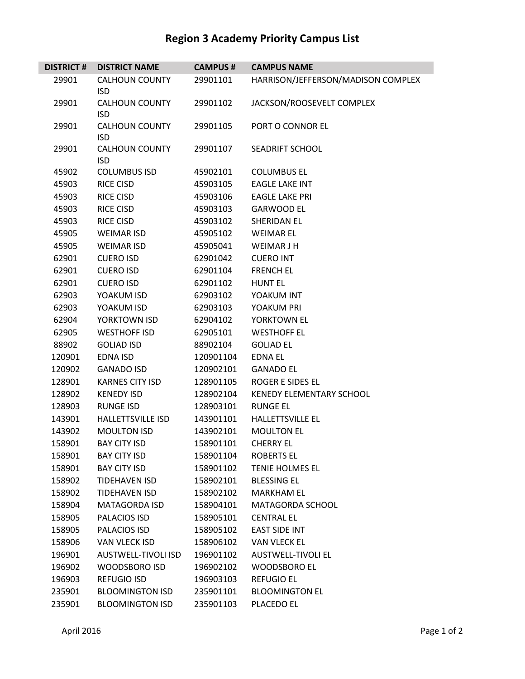## **Region 3 Academy Priority Campus List**

| <b>DISTRICT#</b> | <b>DISTRICT NAME</b>                | <b>CAMPUS#</b> | <b>CAMPUS NAME</b>                 |
|------------------|-------------------------------------|----------------|------------------------------------|
| 29901            | <b>CALHOUN COUNTY</b>               | 29901101       | HARRISON/JEFFERSON/MADISON COMPLEX |
|                  | <b>ISD</b>                          |                |                                    |
| 29901            | <b>CALHOUN COUNTY</b>               | 29901102       | JACKSON/ROOSEVELT COMPLEX          |
|                  | <b>ISD</b>                          |                |                                    |
| 29901            | <b>CALHOUN COUNTY</b>               | 29901105       | PORT O CONNOR EL                   |
|                  | <b>ISD</b>                          |                |                                    |
| 29901            | <b>CALHOUN COUNTY</b><br><b>ISD</b> | 29901107       | <b>SEADRIFT SCHOOL</b>             |
| 45902            | <b>COLUMBUS ISD</b>                 | 45902101       | <b>COLUMBUS EL</b>                 |
| 45903            | <b>RICE CISD</b>                    | 45903105       | <b>EAGLE LAKE INT</b>              |
| 45903            | <b>RICE CISD</b>                    | 45903106       | <b>EAGLE LAKE PRI</b>              |
| 45903            | <b>RICE CISD</b>                    | 45903103       | <b>GARWOOD EL</b>                  |
| 45903            | <b>RICE CISD</b>                    | 45903102       | <b>SHERIDAN EL</b>                 |
| 45905            | <b>WEIMAR ISD</b>                   | 45905102       | <b>WEIMAR EL</b>                   |
| 45905            | <b>WEIMAR ISD</b>                   | 45905041       | <b>WEIMAR J H</b>                  |
| 62901            | <b>CUERO ISD</b>                    | 62901042       | <b>CUERO INT</b>                   |
| 62901            | <b>CUERO ISD</b>                    | 62901104       | <b>FRENCH EL</b>                   |
| 62901            | <b>CUERO ISD</b>                    | 62901102       | <b>HUNT EL</b>                     |
| 62903            | YOAKUM ISD                          | 62903102       | YOAKUM INT                         |
| 62903            | YOAKUM ISD                          | 62903103       | YOAKUM PRI                         |
| 62904            | YORKTOWN ISD                        | 62904102       | YORKTOWN EL                        |
| 62905            | <b>WESTHOFF ISD</b>                 | 62905101       | <b>WESTHOFF EL</b>                 |
| 88902            | <b>GOLIAD ISD</b>                   | 88902104       | <b>GOLIAD EL</b>                   |
| 120901           | <b>EDNA ISD</b>                     | 120901104      | <b>EDNA EL</b>                     |
| 120902           | <b>GANADO ISD</b>                   | 120902101      | <b>GANADO EL</b>                   |
| 128901           | <b>KARNES CITY ISD</b>              | 128901105      | <b>ROGER E SIDES EL</b>            |
| 128902           | <b>KENEDY ISD</b>                   | 128902104      | <b>KENEDY ELEMENTARY SCHOOL</b>    |
| 128903           | <b>RUNGE ISD</b>                    | 128903101      | <b>RUNGE EL</b>                    |
| 143901           | <b>HALLETTSVILLE ISD</b>            | 143901101      | <b>HALLETTSVILLE EL</b>            |
| 143902           | <b>MOULTON ISD</b>                  | 143902101      | <b>MOULTON EL</b>                  |
| 158901           | <b>BAY CITY ISD</b>                 | 158901101      | <b>CHERRY EL</b>                   |
| 158901           | <b>BAY CITY ISD</b>                 | 158901104      | <b>ROBERTS EL</b>                  |
| 158901           | <b>BAY CITY ISD</b>                 | 158901102      | TENIE HOLMES EL                    |
| 158902           | TIDEHAVEN ISD                       | 158902101      | <b>BLESSING EL</b>                 |
| 158902           | <b>TIDEHAVEN ISD</b>                | 158902102      | <b>MARKHAM EL</b>                  |
| 158904           | <b>MATAGORDA ISD</b>                | 158904101      | MATAGORDA SCHOOL                   |
| 158905           | PALACIOS ISD                        | 158905101      | <b>CENTRAL EL</b>                  |
| 158905           | PALACIOS ISD                        | 158905102      | <b>EAST SIDE INT</b>               |
| 158906           | VAN VLECK ISD                       | 158906102      | <b>VAN VLECK EL</b>                |
| 196901           | AUSTWELL-TIVOLI ISD                 | 196901102      | <b>AUSTWELL-TIVOLI EL</b>          |
| 196902           | <b>WOODSBORO ISD</b>                | 196902102      | <b>WOODSBORO EL</b>                |
| 196903           | <b>REFUGIO ISD</b>                  | 196903103      | <b>REFUGIO EL</b>                  |
| 235901           | <b>BLOOMINGTON ISD</b>              | 235901101      | <b>BLOOMINGTON EL</b>              |
| 235901           | <b>BLOOMINGTON ISD</b>              | 235901103      | PLACEDO EL                         |